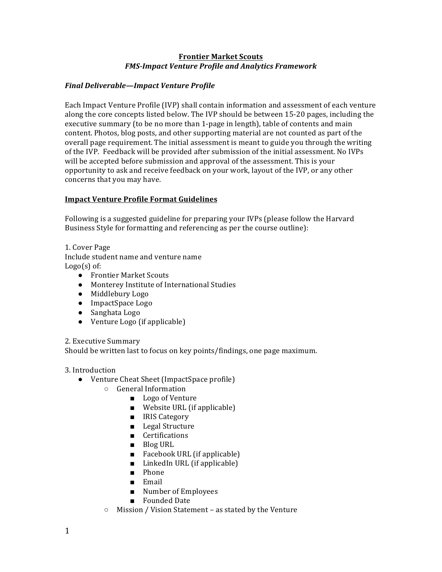#### **Frontier Market Scouts** *FMS-Impact Venture Profile and Analytics Framework*

# *Final Deliverable—Impact Venture Profile*

Each Impact Venture Profile (IVP) shall contain information and assessment of each venture along the core concepts listed below. The IVP should be between 15-20 pages, including the executive summary (to be no more than 1-page in length), table of contents and main content. Photos, blog posts, and other supporting material are not counted as part of the overall page requirement. The initial assessment is meant to guide you through the writing of the IVP. Feedback will be provided after submission of the initial assessment. No IVPs will be accepted before submission and approval of the assessment. This is your opportunity to ask and receive feedback on your work, layout of the IVP, or any other concerns that you may have.

# **Impact Venture Profile Format Guidelines**

Following is a suggested guideline for preparing your IVPs (please follow the Harvard Business Style for formatting and referencing as per the course outline):

1. Cover Page Include student name and venture name  $Logo(s)$  of:

- Frontier Market Scouts
- Monterey Institute of International Studies
- Middlebury Logo
- ImpactSpace Logo
- Sanghata Logo
- Venture Logo (if applicable)

#### 2. Executive Summary

Should be written last to focus on key points/findings, one page maximum.

## 3. Introduction

- Venture Cheat Sheet (ImpactSpace profile)
	- General Information
		- Logo of Venture
		- $\blacksquare$  Website URL (if applicable)
		- IRIS Category
		- Legal Structure
		- Certifications
		- Blog URL
		- $\blacksquare$  Facebook URL (if applicable)
		- $\blacksquare$  LinkedIn URL (if applicable)
		- Phone
		- Email
		- Number of Employees
		- Founded Date
	- Mission / Vision Statement as stated by the Venture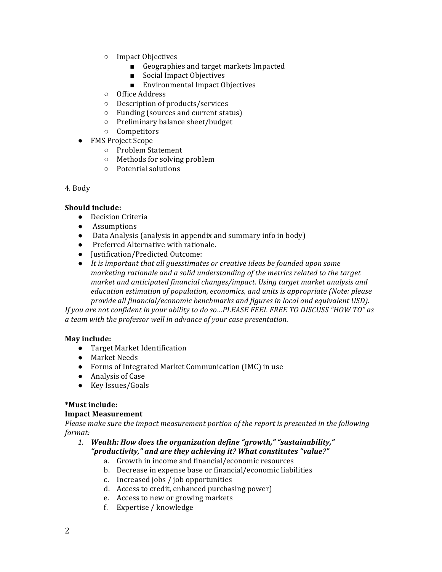- Impact Objectives
	- Geographies and target markets Impacted
	- Social Impact Objectives
	- Environmental Impact Objectives
- Office Address
- Description of products/services
- $\circ$  Funding (sources and current status)
- Preliminary balance sheet/budget
- Competitors
- FMS Project Scope
	- Problem Statement
	- $\circ$  Methods for solving problem
	- Potential solutions

#### 4. Body

#### **Should include:**

- Decision Criteria
- Assumptions
- Data Analysis (analysis in appendix and summary info in body)
- Preferred Alternative with rationale.
- Justification/Predicted Outcome:
- It is important that all guesstimates or creative ideas be founded upon some *marketing rationale and a solid understanding of the metrics related to the target market and anticipated financial changes/impact. Using target market analysis and education estimation of population, economics, and units is appropriate (Note: please provide all financial/economic benchmarks and figures in local and equivalent USD).*

If you are not confident in your ability to do so...PLEASE FEEL FREE TO DISCUSS "HOW TO" as *a team with the professor well in advance of your case presentation.*

#### **May include:**

- Target Market Identification
- Market Needs
- Forms of Integrated Market Communication (IMC) in use
- Analysis of Case
- Key Issues/Goals

#### **\*Must include: Impact Measurement**

Please make sure the *impact measurement portion of the report* is presented in the following *format:* 

1. Wealth: How does the organization define "growth," "sustainability," *"productivity," and are they achieving it? What constitutes "value?"*

- a. Growth in income and financial/economic resources
- b. Decrease in expense base or financial/economic liabilities
- c. Increased jobs / job opportunities
- d. Access to credit, enhanced purchasing power)
- e. Access to new or growing markets
- f. Expertise / knowledge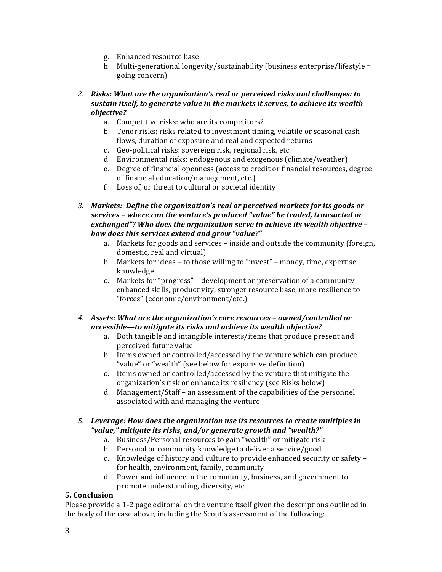- g. Enhanced resource base
- h. Multi-generational longevity/sustainability (business enterprise/lifestyle = going concern)
- 2. Risks: What are the organization's real or perceived risks and challenges: to sustain itself, to generate value in the markets it serves, to achieve its wealth *objective?* 
	- a. Competitive risks: who are its competitors?
	- b. Tenor risks: risks related to investment timing, volatile or seasonal cash flows, duration of exposure and real and expected returns
	- c. Geo-political risks: sovereign risk, regional risk, etc.
	- d. Environmental risks: endogenous and exogenous (climate/weather)
	- e. Degree of financial openness (access to credit or financial resources, degree of financial education/management, etc.)
	- f. Loss of, or threat to cultural or societal identity
- 3. Markets: Define the organization's real or perceived markets for its goods or services – where can the venture's produced "value" be traded, transacted or exchanged"? Who does the organization serve to achieve its wealth objective *how does this services extend and grow "value?"*
	- a. Markets for goods and services inside and outside the community (foreign, domestic, real and virtual)
	- b. Markets for ideas to those willing to "invest" money, time, expertise, knowledge
	- c. Markets for "progress" development or preservation of a community enhanced skills, productivity, stronger resource base, more resilience to "forces" (economic/environment/etc.)
- 4. Assets: What are the organization's core resources owned/controlled or accessible—to mitigate its risks and achieve its wealth objective?
	- a. Both tangible and intangible interests/items that produce present and perceived future value
	- b. Items owned or controlled/accessed by the venture which can produce "value" or "wealth" (see below for expansive definition)
	- c. Items owned or controlled/accessed by the venture that mitigate the organization's risk or enhance its resiliency (see Risks below)
	- d. Management/Staff an assessment of the capabilities of the personnel associated with and managing the venture
- 5. Leverage: How does the organization use its resources to create multiples in "value," mitigate *its risks, and/or generate growth and "wealth?"* 
	- a. Business/Personal resources to gain "wealth" or mitigate risk
	- b. Personal or community knowledge to deliver a service/good
	- c. Knowledge of history and culture to provide enhanced security or safety for health, environment, family, community
	- d. Power and influence in the community, business, and government to promote understanding, diversity, etc.

## **5. Conclusion**

Please provide a 1-2 page editorial on the venture itself given the descriptions outlined in the body of the case above, including the Scout's assessment of the following: